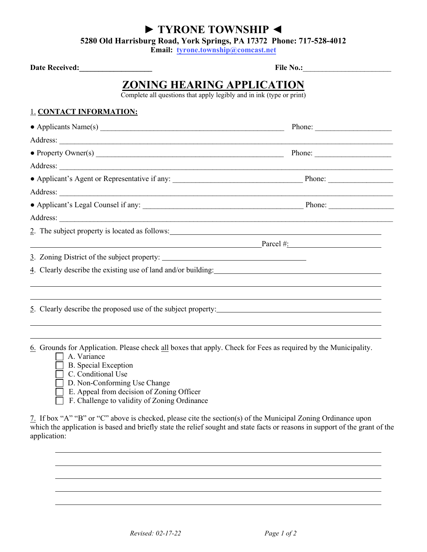## **► TYRONE TOWNSHIP ◄**

**5280 Old Harrisburg Road, York Springs, PA 17372 Phone: 717-528-4012**

**Email: tyrone.township@comcast.net** 

| <b>Date Received:</b>                                                                              | File No.:           |  |  |  |  |
|----------------------------------------------------------------------------------------------------|---------------------|--|--|--|--|
| ZONING HEARING APPLICATION<br>Complete all questions that apply legibly and in ink (type or print) |                     |  |  |  |  |
| <b>1. CONTACT INFORMATION:</b>                                                                     |                     |  |  |  |  |
|                                                                                                    |                     |  |  |  |  |
|                                                                                                    |                     |  |  |  |  |
|                                                                                                    |                     |  |  |  |  |
|                                                                                                    |                     |  |  |  |  |
|                                                                                                    |                     |  |  |  |  |
|                                                                                                    |                     |  |  |  |  |
|                                                                                                    |                     |  |  |  |  |
|                                                                                                    |                     |  |  |  |  |
|                                                                                                    |                     |  |  |  |  |
|                                                                                                    | $\text{Parcel } \#$ |  |  |  |  |
|                                                                                                    |                     |  |  |  |  |
|                                                                                                    |                     |  |  |  |  |
| 5. Clearly describe the proposed use of the subject property:                                      |                     |  |  |  |  |
|                                                                                                    |                     |  |  |  |  |

6. Grounds for Application. Please check all boxes that apply. Check for Fees as required by the Municipality.

- A. Variance
- B. Special Exception
- $\overline{\Box}$  C. Conditional Use
- D. Non-Conforming Use Change
- $\overline{\Box}$  E. Appeal from decision of Zoning Officer
- F. Challenge to validity of Zoning Ordinance

7. If box "A" "B" or "C" above is checked, please cite the section(s) of the Municipal Zoning Ordinance upon which the application is based and briefly state the relief sought and state facts or reasons in support of the grant of the application: